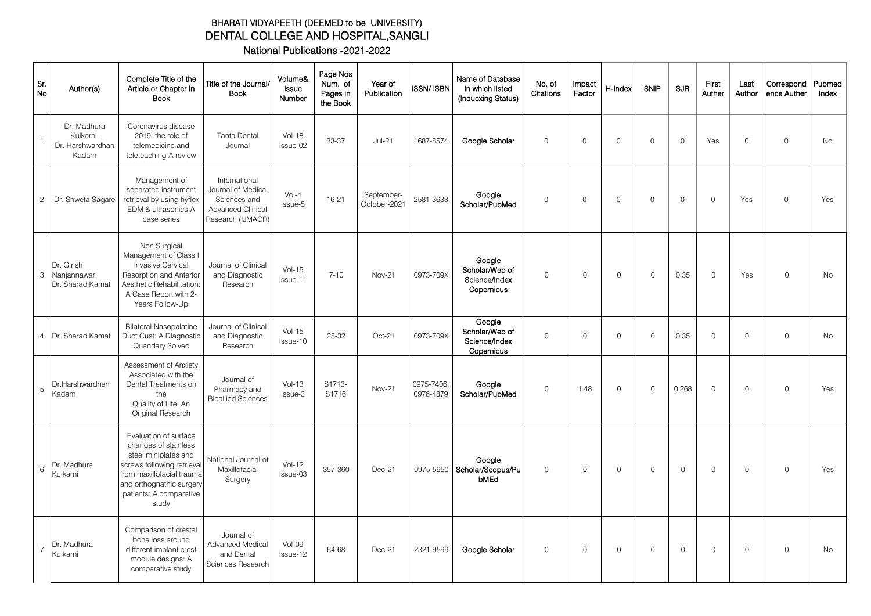## BHARATI VIDYAPEETH (DEEMED to be UNIVERSITY) DENTAL COLLEGE AND HOSPITAL,SANGLI National Publications -2021-2022

| Sr.<br>No      | Author(s)                                             | Complete Title of the<br>Article or Chapter in<br><b>Book</b>                                                                                                                                    | Title of the Journal/<br><b>Book</b>                                                                 | Volume&<br>Issue<br>Number | Page Nos<br>Num. of<br>Pages in<br>the Book | Year of<br>Publication     | ISSN/ ISBN Í            | Name of Database<br>in which listed<br>(Inducxing Status) | No. of<br>Citations | Impact<br>Factor | H-Index     | <b>SNIP</b>         | <b>SJR</b>  | First<br>Auther | Last<br>Author | Correspond<br>ence Auther | Pubmed<br>Index |
|----------------|-------------------------------------------------------|--------------------------------------------------------------------------------------------------------------------------------------------------------------------------------------------------|------------------------------------------------------------------------------------------------------|----------------------------|---------------------------------------------|----------------------------|-------------------------|-----------------------------------------------------------|---------------------|------------------|-------------|---------------------|-------------|-----------------|----------------|---------------------------|-----------------|
|                | Dr. Madhura<br>Kulkarni,<br>Dr. Harshwardhan<br>Kadam | Coronavirus disease<br>2019: the role of<br>telemedicine and<br>teleteaching-A review                                                                                                            | <b>Tanta Dental</b><br>Journal                                                                       | $Vol-18$<br>Issue-02       | 33-37                                       | $Jul-21$                   | 1687-8574               | Google Scholar                                            | $\mathsf{O}$        | $\Omega$         | $\Omega$    | $\mathsf{O}$        | $\Omega$    | Yes             | $\circ$        | $\mathbf 0$               | No              |
| $\overline{c}$ | Dr. Shweta Sagare                                     | Management of<br>separated instrument<br>retrieval by using hyflex<br>EDM & ultrasonics-A<br>case series                                                                                         | International<br>Journal of Medical<br>Sciences and<br><b>Advanced Clinical</b><br>Research (IJMACR) | $Vol-4$<br>Issue-5         | 16-21                                       | September-<br>October-2021 | 2581-3633               | Google<br>Scholar/PubMed                                  | $\circ$             | $\Omega$         | $\mathbf 0$ | $\mathsf{O}\xspace$ | $\mathbf 0$ | 0               | Yes            | $\mathbf 0$               | Yes             |
| 3              | Dr. Girish<br>Nanjannawar,<br>Dr. Sharad Kamat        | Non Surgical<br>Management of Class I<br><b>Invasive Cervical</b><br>Resorption and Anterior<br>Aesthetic Rehabilitation<br>A Case Report with 2-<br>Years Follow-Up                             | Journal of Clinical<br>and Diagnostic<br>Research                                                    | $Vol-15$<br>Issue-11       | $7 - 10$                                    | <b>Nov-21</b>              | 0973-709X               | Google<br>Scholar/Web of<br>Science/Index<br>Copernicus   | $\Omega$            | $\Omega$         | $\circ$     | $\Omega$            | 0.35        | $\Omega$        | Yes            | $\Omega$                  | <b>No</b>       |
| $\overline{4}$ | Dr. Sharad Kamat                                      | <b>Bilateral Nasopalatine</b><br>Duct Cust: A Diagnostic<br>Quandary Solved                                                                                                                      | Journal of Clinical<br>and Diagnostic<br>Research                                                    | $Vol-15$<br>Issue-10       | 28-32                                       | Oct-21                     | 0973-709X               | Google<br>Scholar/Web of<br>Science/Index<br>Copernicus   | $\circ$             | $\circ$          | $\circ$     | $\circ$             | 0.35        | $\circ$         | $\mathbf 0$    | $\mathsf{O}$              | <b>No</b>       |
| 5              | Dr.Harshwardhan<br>Kadam                              | Assessment of Anxiety<br>Associated with the<br>Dental Treatments on<br>the<br>Quality of Life: An<br>Original Research                                                                          | Journal of<br>Pharmacy and<br><b>Bioallied Sciences</b>                                              | $Vol-13$<br>Issue-3        | S1713-<br>S1716                             | <b>Nov-21</b>              | 0975-7406.<br>0976-4879 | Google<br>Scholar/PubMed                                  | $\circ$             | 1.48             | $\mathbf 0$ | $\circ$             | 0.268       | $\circ$         | $\mathbf 0$    | $\circ$                   | Yes             |
| 6              | Dr. Madhura<br>Kulkarni                               | Evaluation of surface<br>changes of stainless<br>steel miniplates and<br>screws following retrieval<br>from maxillofacial trauma<br>and orthognathic surgery<br>patients: A comparative<br>study | National Journal of<br>Maxillofacial<br>Surgery                                                      | $Vol-12$<br>Issue-03       | 357-360                                     | Dec-21                     | 0975-5950               | Google<br>Scholar/Scopus/Pu<br>bMEd                       | $\circ$             | $\circ$          | $\mathbf 0$ | $\circ$             | $\mathbf 0$ | $\circ$         | $\Omega$       | $\Omega$                  | Yes             |
|                | Dr. Madhura<br>Kulkarni                               | Comparison of crestal<br>bone loss around<br>different implant crest<br>module designs: A<br>comparative study                                                                                   | Journal of<br>Advanced Medical<br>and Dental<br>Sciences Research                                    | $Vol-09$<br>Issue-12       | 64-68                                       | $Dec-21$                   | 2321-9599               | Google Scholar                                            | $\mathsf{O}$        | $\mathbf 0$      | $\circ$     | $\Omega$            | $\Omega$    | $\Omega$        | $\Omega$       | $\Omega$                  | <b>No</b>       |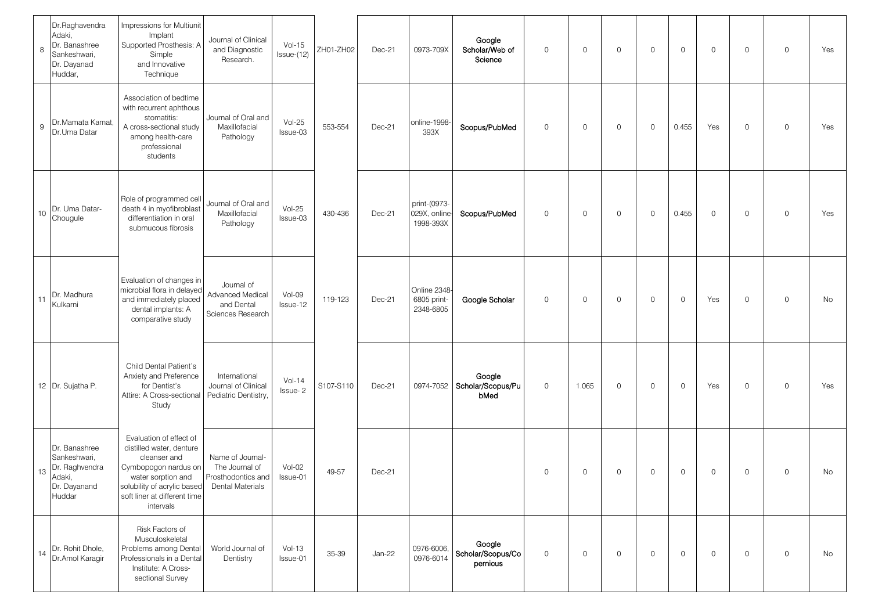| 8  | Dr.Raghavendra<br>Adaki,<br>Dr. Banashree<br>Sankeshwari,<br>Dr. Dayanad<br>Huddar, | Impressions for Multiunit<br>Implant<br>Supported Prosthesis: A<br>Simple<br>and Innovative<br>Technique                                                                                      | Journal of Clinical<br>and Diagnostic<br>Research.                           | $Vol-15$<br>$lssue-(12)$ | ZH01-ZH02 | Dec-21 | 0973-709X                                 | Google<br>Scholar/Web of<br>Science     | $\mathbf 0$  | $\mathbf 0$ | $\mathbf 0$ | $\mathsf{O}$ | $\mathbf 0$ | $\mathbf 0$  | 0            | $\mathbf 0$ | Yes |
|----|-------------------------------------------------------------------------------------|-----------------------------------------------------------------------------------------------------------------------------------------------------------------------------------------------|------------------------------------------------------------------------------|--------------------------|-----------|--------|-------------------------------------------|-----------------------------------------|--------------|-------------|-------------|--------------|-------------|--------------|--------------|-------------|-----|
| 9  | Dr.Mamata Kamat,<br>Dr.Uma Datar                                                    | Association of bedtime<br>with recurrent aphthous<br>stomatitis:<br>A cross-sectional study<br>among health-care<br>professional<br>students                                                  | Journal of Oral and<br>Maxillofacial<br>Pathology                            | $Vol-25$<br>Issue-03     | 553-554   | Dec-21 | online-1998-<br>393X                      | Scopus/PubMed                           | $\mathsf{O}$ | $\mathbf 0$ | $\mathbf 0$ | $\mathsf{O}$ | 0.455       | Yes          | 0            | $\circ$     | Yes |
| 10 | Dr. Uma Datar-<br>Chougule                                                          | Role of programmed cel<br>death 4 in myofibroblast<br>differentiation in oral<br>submucous fibrosis                                                                                           | Journal of Oral and<br>Maxillofacial<br>Pathology                            | $Vol-25$<br>Issue-03     | 430-436   | Dec-21 | print-(0973-<br>029X, online<br>1998-393X | Scopus/PubMed                           | $\mathbf 0$  | $\mathbf 0$ | $\mathbf 0$ | $\mathsf{O}$ | 0.455       | $\mathbf 0$  | 0            | $\mathbf 0$ | Yes |
| 11 | Dr. Madhura<br>Kulkarni                                                             | Evaluation of changes in<br>microbial flora in delayed<br>and immediately placed<br>dental implants: A<br>comparative study                                                                   | Journal of<br>Advanced Medical<br>and Dental<br>Sciences Research            | Vol-09<br>Issue-12       | 119-123   | Dec-21 | Online 2348-<br>6805 print-<br>2348-6805  | Google Scholar                          | $\mathbf 0$  | $\mathbf 0$ | $\mathbf 0$ | $\mathsf{O}$ | 0           | Yes          | 0            | $\mathbf 0$ | No  |
|    | 12 Dr. Sujatha P.                                                                   | Child Dental Patient's<br>Anxiety and Preference<br>for Dentist's<br>Attire: A Cross-sectional<br>Study                                                                                       | International<br>Journal of Clinical<br>Pediatric Dentistry,                 | $Vol-14$<br>Issue-2      | S107-S110 | Dec-21 | 0974-7052                                 | Google<br>Scholar/Scopus/Pu<br>bMed     | $\mathbf 0$  | 1.065       | $\mathbf 0$ | $\mathsf{O}$ | 0           | Yes          | 0            | $\mathbf 0$ | Yes |
| 13 | Dr. Banashree<br>Sankeshwari,<br>Dr. Raghvendra<br>Adaki,<br>Dr. Dayanand<br>Huddar | Evaluation of effect of<br>distilled water, denture<br>cleanser and<br>Cymbopogon nardus on<br>water sorption and<br>solubility of acrylic based<br>soft liner at different time<br>intervals | Name of Journal-<br>The Journal of<br>Prosthodontics and<br>Dental Materials | Vol-02<br>Issue-01       | 49-57     | Dec-21 |                                           |                                         | $\mathbf 0$  | $\mathbf 0$ | $\mathbf 0$ | $\mathbf 0$  | $\mathbf 0$ | $\mathbf 0$  | $\mathsf{O}$ | $\mathsf O$ | No  |
| 14 | Dr. Rohit Dhole,<br>Dr.Amol Karagir                                                 | Risk Factors of<br>Musculoskeletal<br>Problems among Dental<br>Professionals in a Dental<br>Institute: A Cross-<br>sectional Survey                                                           | World Journal of<br>Dentistry                                                | $Vol-13$<br>Issue-01     | 35-39     | Jan-22 | 0976-6006,<br>0976-6014                   | Google<br>Scholar/Scopus/Co<br>pernicus | $\mathbf 0$  | $\mathbf 0$ | $\mathbf 0$ | $\mathsf{O}$ | 0           | $\mathsf{O}$ | $\mathsf{O}$ | $\mathbf 0$ | No  |